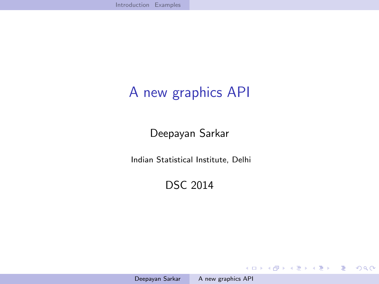## A new graphics API

Deepayan Sarkar

Indian Statistical Institute, Delhi

DSC 2014

イロメ イ団メ イモメ イモメー

<span id="page-0-0"></span>目  $\Omega$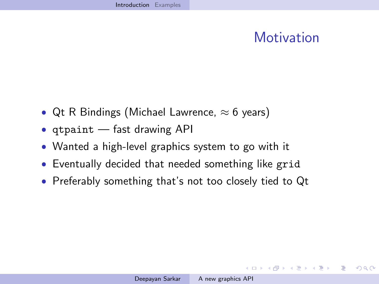## **Motivation**

イロメ イ団メ イモメ イモメー

 $2990$ 

<span id="page-1-0"></span>∍

- Qt R Bindings (Michael Lawrence,  $\approx 6$  years)
- qtpaint fast drawing API
- Wanted a high-level graphics system to go with it
- Eventually decided that needed something like grid
- Preferably something that's not too closely tied to Qt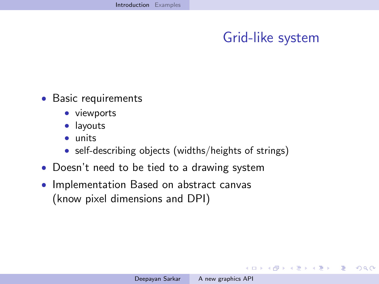## Grid-like system

イロト イ押 トイヨ トイヨ トー

 $2990$ 

э

- Basic requirements
	- viewports
	- **·** layouts
	- units
	- self-describing objects (widths/heights of strings)
- Doesn't need to be tied to a drawing system
- $\bullet$  Implementation Based on abstract canvas (know pixel dimensions and DPI)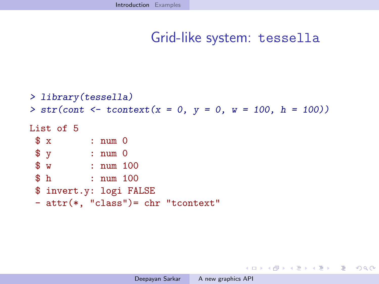```
> library(tessella)
> str(cont \leq tcontext(x = 0, y = 0, w = 100, h = 100))List of 5
$ x : num 0
$ y : num 0
$ w : num 100
$ h : num 100
$ invert.y: logi FALSE
- attr(*, "class")= chr "tcontext"
```
KED KARD KED KED E VOQO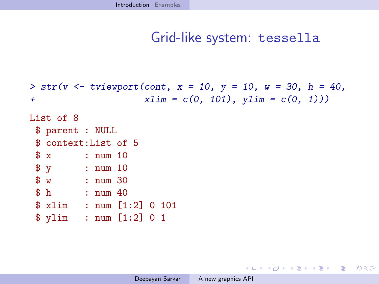```
> str(v \le - tviewport(cont, x = 10, y = 10, w = 30, h = 40,+ xlim = c(0, 101), ylim = c(0, 1))List of 8
$ parent : NULL
$ context:List of 5
$ x : num 10
$ y : num 10
$ w : num 30
$ h : num 40
$ xlim : num [1:2] 0 101
$ ylim : num [1:2] 0 1
```
KED KARD KED KED E VOQO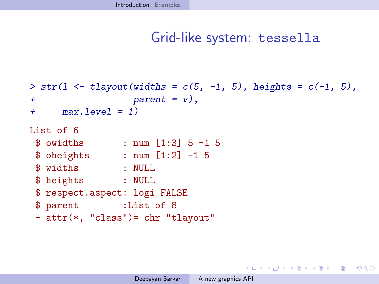```
> str(1 \leftarrow \text{tlayout}(\text{widths} = c(5, -1, 5), \text{heights} = c(-1, 5)),+ parent = v),
+ max.level = 1)
List of 6
 $ owidths : num [1:3] 5 -1 5
 $ oheights : num [1:2] -1 5
 $ widths : NULL
 $ heights : NULL
 $ respect.aspect: logi FALSE
 $ parent :List of 8
 - attr(*, "class")= chr "tlayout"
```
KED KARD KED KED E YAN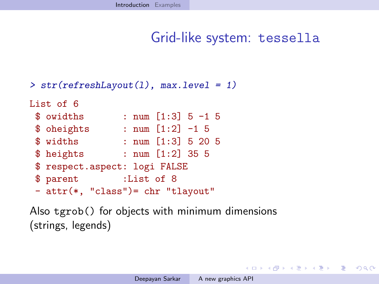```
> str(refreshLayout(l), max.level = 1)
```

```
List of 6
$ owidths : num [1:3] 5 -1 5
$ oheights : num [1:2] -1 5
$ widths : num [1:3] 5 20 5
$ heights : num [1:2] 35 5
$ respect.aspect: logi FALSE
$ parent :List of 8
- attr(*, "class")= chr "tlayout"
```
Also tgrob() for objects with minimum dimensions (strings, legends)

KED KARD KED KED E VOQO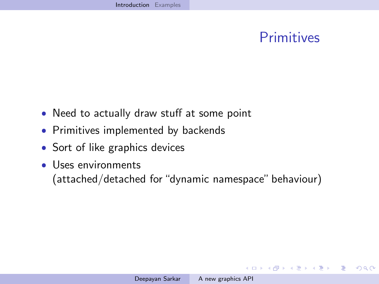### **Primitives**

メロメ メタメ メミメ メミメー

 $2990$ 

<span id="page-7-0"></span>э

- Need to actually draw stuff at some point
- Primitives implemented by backends
- Sort of like graphics devices
- Uses environments (attached/detached for "dynamic namespace" behaviour)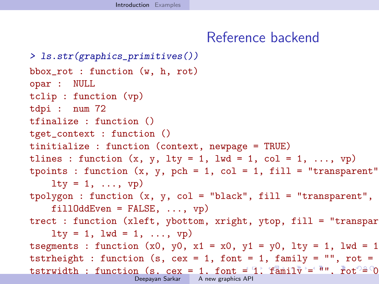#### <span id="page-8-0"></span>Reference backend

```
> ls.str(graphics_primitives())
bbox_rot : function (w, h, rot)
opar : NULL
tclip : function (vp)
tdpi : num 72
tfinalize : function ()
tget_context : function ()
tinitialize : function (context, newpage = TRUE)
tlines : function (x, y, lty = 1, lwd = 1, col = 1, ..., vp)tpoints : function (x, y, \text{ pch} = 1, \text{ col} = 1, \text{ fill} = \text{"transparent"}lty = 1, \ldots, vp)tpolygon : function (x, y, col = "black", fill = "transport",fillOddEven = FALSE, ..., vp)trect : function (xleft, ybottom, xright, ytop, fill = "transpar
    lty = 1, lwd = 1, ..., vp)tsegments : function (x0, y0, x1 = x0, y1 = y0, lty = 1, lwd = 1
tstrheight : function (s, cex = 1, font = 1, family = ", rot =
 =1, =, famathbf{1} \mathbf{v} = \mathbf{u} \cdot \mathbf{v}t_{\text{max}} = \frac{1}{2} is the sequence of \frac{1}{2} is the sequence of \frac{1}{2} is the NULL, of \frac{1}{2} is the \frac{1}{2} is the sequence of \frac{1}{2} is the \frac{1}{2} is the \frac{1}{2} is the \frac{1}{2} is the \frac{1}{2} is th
                       A new graphics API
```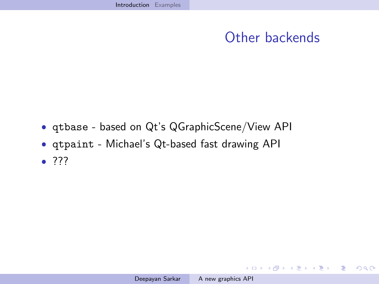## Other backends

メロメメ 御 メメ きょく モドー

<span id="page-9-0"></span> $\Rightarrow$  $\eta$ an

- qtbase based on Qt's QGraphicScene/View API
- qtpaint Michael's Qt-based fast drawing API
- $77?$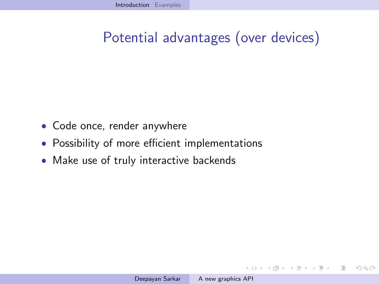## Potential advantages (over devices)

- Code once, render anywhere
- Possibility of more efficient implementations
- Make use of truly interactive backends

メラト メミト メミト

4 17 18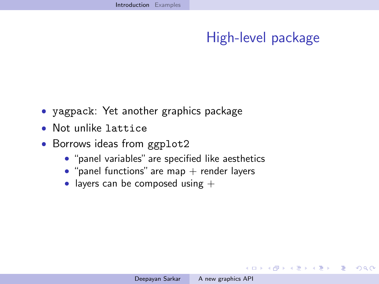## High-level package

イロメ イ団メ イモメ イモメー

<span id="page-11-0"></span> $QQ$ 

∍

- yagpack: Yet another graphics package
- Not unlike lattice
- Borrows ideas from ggplot2
	- "panel variables" are specified like aesthetics
	- $\bullet$  "panel functions" are map  $+$  render layers
	- layers can be composed using  $+$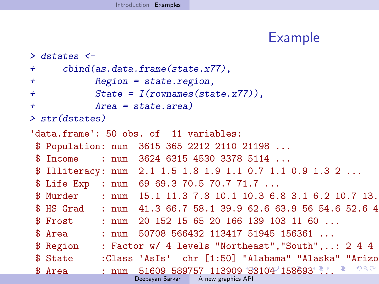#### <span id="page-12-0"></span>Example

```
> dstates <-
+ cbind(as.data.frame(state.x77),
+ Region = state.region,
+ State = I(rownames(state.x77)),
+ Area = state.area)
> str(dstates)
'data.frame': 50 obs. of 11 variables:
$ Population: num 3615 365 2212 2110 21198 ...
$ Income : num 3624 6315 4530 3378 5114 ...
$ Illiteracy: num 2.1 1.5 1.8 1.9 1.1 0.7 1.1 0.9 1.3 2 ...
$ Life Exp : num 69 69.3 70.5 70.7 71.7 ...
$ Murder : num 15.1 11.3 7.8 10.1 10.3 6.8 3.1 6.2 10.7 13.
$ HS Grad : num 41.3 66.7 58.1 39.9 62.6 63.9 56 54.6 52.6 4
$ Frost : num 20 152 15 65 20 166 139 103 11 60
$ Area : num 50708 566432 113417 51945 156361 ...
$ Region : Factor w/ 4 levels "Northeast", "South",..: 2 4 4
 "Alabama" "Alaska" "Arizo
                                                   299$ 53104 158693 ...
                          A new graphics API
```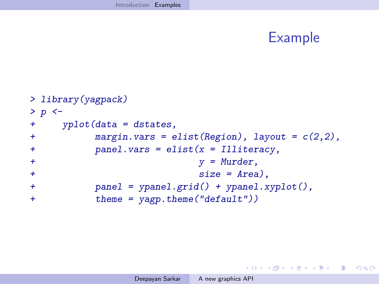## Example

<span id="page-13-0"></span>K ロ ▶ K @ ▶ K ミ ▶ K ミ ▶ - ' 큰' - 10 Q Q

```
> library(yagpack)
> p < -+ yplot(data = dstates,
+ margin.vars = elist(Region), layout = c(2,2),
+ panel.vars = elist(x = Illiteracy,
+ y = Murder,
+ size = Area).
+ panel = ypanel.grid() + ypanel.xyplot(),
+ theme = yagp.theme("default"))
```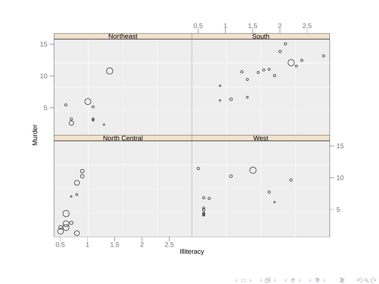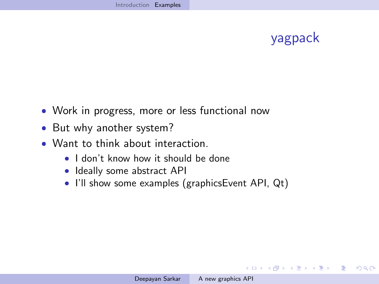## yagpack

イロト イ押 トイヨ トイヨ トー

 $\equiv$ 

 $QQ$ 

- Work in progress, more or less functional now
- But why another system?
- Want to think about interaction.
	- I don't know how it should be done
	- Ideally some abstract API
	- I'll show some examples (graphicsEvent API, Qt)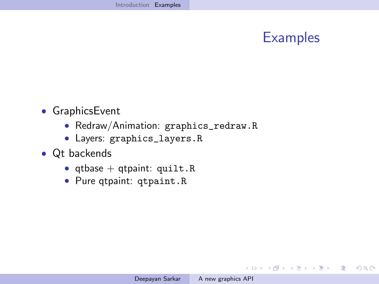## **Examples**

メロメメ 御 メメ きょく ミメー

 $\equiv$ 

 $QQ$ 

- GraphicsEvent
	- Redraw/Animation: [graphics\\_redraw.R](graphics_redraw.R)
	- Layers: [graphics\\_layers.R](graphics_layers.R)
- Qt backends
	- qtbase + qtpaint: <quilt.R>
	- Pure qtpaint: <qtpaint.R>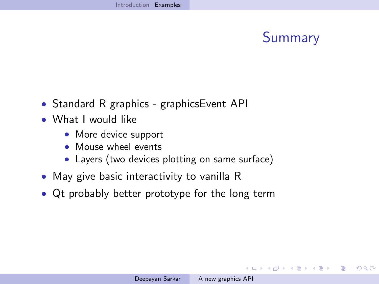# Summary

イロメ イ団メ イミメ イヨメー

- Standard R graphics graphicsEvent API
- What I would like
	- More device support
	- Mouse wheel events
	- Layers (two devices plotting on same surface)
- May give basic interactivity to vanilla R
- Qt probably better prototype for the long term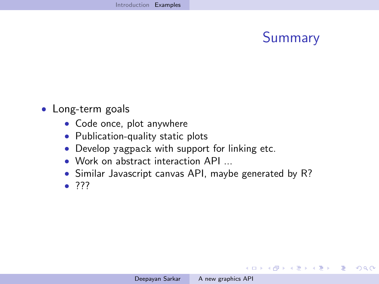# Summary

メロメメ 御 メメ きょく モドー

 $2990$ 

э

- Long-term goals
	- Code once, plot anywhere
	- Publication-quality static plots
	- Develop yagpack with support for linking etc.
	- Work on abstract interaction API ...
	- Similar Javascript canvas API, maybe generated by R?
	- $77?$